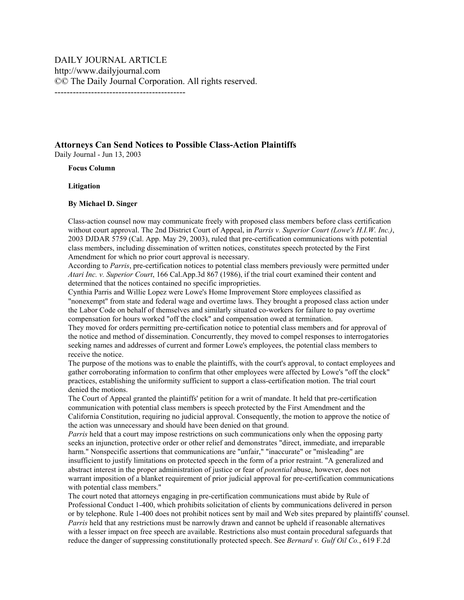**Attorneys Can Send Notices to Possible Class-Action Plaintiffs**  Daily Journal - Jun 13, 2003

## **Focus Column**

## **Litigation**

## **By Michael D. Singer**

Class-action counsel now may communicate freely with proposed class members before class certification without court approval. The 2nd District Court of Appeal, in *Parris v. Superior Court (Lowe's H.I.W. Inc.)*, 2003 DJDAR 5759 (Cal. App. May 29, 2003), ruled that pre-certification communications with potential class members, including dissemination of written notices, constitutes speech protected by the First Amendment for which no prior court approval is necessary.

According to *Parris*, pre-certification notices to potential class members previously were permitted under *Atari Inc. v. Superior Court*, 166 Cal.App.3d 867 (1986), if the trial court examined their content and determined that the notices contained no specific improprieties.

Cynthia Parris and Willie Lopez were Lowe's Home Improvement Store employees classified as "nonexempt" from state and federal wage and overtime laws. They brought a proposed class action under the Labor Code on behalf of themselves and similarly situated co-workers for failure to pay overtime compensation for hours worked "off the clock" and compensation owed at termination.

They moved for orders permitting pre-certification notice to potential class members and for approval of the notice and method of dissemination. Concurrently, they moved to compel responses to interrogatories seeking names and addresses of current and former Lowe's employees, the potential class members to receive the notice.

The purpose of the motions was to enable the plaintiffs, with the court's approval, to contact employees and gather corroborating information to confirm that other employees were affected by Lowe's "off the clock" practices, establishing the uniformity sufficient to support a class-certification motion. The trial court denied the motions.

The Court of Appeal granted the plaintiffs' petition for a writ of mandate. It held that pre-certification communication with potential class members is speech protected by the First Amendment and the California Constitution, requiring no judicial approval. Consequently, the motion to approve the notice of the action was unnecessary and should have been denied on that ground.

*Parris* held that a court may impose restrictions on such communications only when the opposing party seeks an injunction, protective order or other relief and demonstrates "direct, immediate, and irreparable harm." Nonspecific assertions that communications are "unfair," "inaccurate" or "misleading" are insufficient to justify limitations on protected speech in the form of a prior restraint. "A generalized and abstract interest in the proper administration of justice or fear of *potential* abuse, however, does not warrant imposition of a blanket requirement of prior judicial approval for pre-certification communications with potential class members."

The court noted that attorneys engaging in pre-certification communications must abide by Rule of Professional Conduct 1-400, which prohibits solicitation of clients by communications delivered in person or by telephone. Rule 1-400 does not prohibit notices sent by mail and Web sites prepared by plaintiffs' counsel. *Parris* held that any restrictions must be narrowly drawn and cannot be upheld if reasonable alternatives with a lesser impact on free speech are available. Restrictions also must contain procedural safeguards that reduce the danger of suppressing constitutionally protected speech. See *Bernard v. Gulf Oil Co.*, 619 F.2d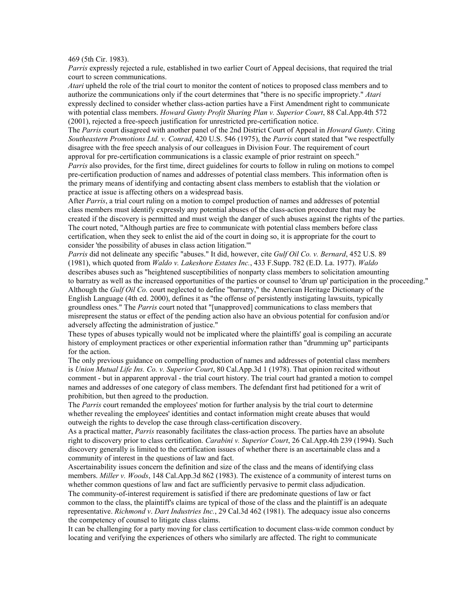469 (5th Cir. 1983).

*Parris* expressly rejected a rule, established in two earlier Court of Appeal decisions, that required the trial court to screen communications.

*Atari* upheld the role of the trial court to monitor the content of notices to proposed class members and to authorize the communications only if the court determines that "there is no specific impropriety." *Atari* expressly declined to consider whether class-action parties have a First Amendment right to communicate with potential class members. *Howard Gunty Profit Sharing Plan v. Superior Court*, 88 Cal.App.4th 572 (2001), rejected a free-speech justification for unrestricted pre-certification notice.

The *Parris* court disagreed with another panel of the 2nd District Court of Appeal in *Howard Gunty*. Citing *Southeastern Promotions Ltd. v. Conrad*, 420 U.S. 546 (1975), the *Parris* court stated that "we respectfully disagree with the free speech analysis of our colleagues in Division Four. The requirement of court approval for pre-certification communications is a classic example of prior restraint on speech." *Parris* also provides, for the first time, direct guidelines for courts to follow in ruling on motions to compel pre-certification production of names and addresses of potential class members. This information often is the primary means of identifying and contacting absent class members to establish that the violation or

practice at issue is affecting others on a widespread basis.

After *Parris*, a trial court ruling on a motion to compel production of names and addresses of potential class members must identify expressly any potential abuses of the class-action procedure that may be created if the discovery is permitted and must weigh the danger of such abuses against the rights of the parties. The court noted, "Although parties are free to communicate with potential class members before class certification, when they seek to enlist the aid of the court in doing so, it is appropriate for the court to consider 'the possibility of abuses in class action litigation.'"

*Parris* did not delineate any specific "abuses." It did, however, cite *Gulf Oil Co. v. Bernard*, 452 U.S. 89 (1981), which quoted from *Waldo v. Lakeshore Estates Inc.*, 433 F.Supp. 782 (E.D. La. 1977). *Waldo* describes abuses such as "heightened susceptibilities of nonparty class members to solicitation amounting to barratry as well as the increased opportunities of the parties or counsel to 'drum up' participation in the proceeding." Although the *Gulf Oil Co.* court neglected to define "barratry," the American Heritage Dictionary of the English Language (4th ed. 2000), defines it as "the offense of persistently instigating lawsuits, typically groundless ones." The *Parris* court noted that "[unapproved] communications to class members that misrepresent the status or effect of the pending action also have an obvious potential for confusion and/or adversely affecting the administration of justice."

These types of abuses typically would not be implicated where the plaintiffs' goal is compiling an accurate history of employment practices or other experiential information rather than "drumming up" participants for the action.

The only previous guidance on compelling production of names and addresses of potential class members is *Union Mutual Life Ins. Co. v. Superior Court*, 80 Cal.App.3d 1 (1978). That opinion recited without comment - but in apparent approval - the trial court history. The trial court had granted a motion to compel names and addresses of one category of class members. The defendant first had petitioned for a writ of prohibition, but then agreed to the production.

The *Parris* court remanded the employees' motion for further analysis by the trial court to determine whether revealing the employees' identities and contact information might create abuses that would outweigh the rights to develop the case through class-certification discovery.

As a practical matter, *Parris* reasonably facilitates the class-action process. The parties have an absolute right to discovery prior to class certification. *Carabini v. Superior Court*, 26 Cal.App.4th 239 (1994). Such discovery generally is limited to the certification issues of whether there is an ascertainable class and a community of interest in the questions of law and fact.

Ascertainability issues concern the definition and size of the class and the means of identifying class members. *Miller v. Woods*, 148 Cal.App.3d 862 (1983). The existence of a community of interest turns on whether common questions of law and fact are sufficiently pervasive to permit class adjudication. The community-of-interest requirement is satisfied if there are predominate questions of law or fact common to the class, the plaintiff's claims are typical of those of the class and the plaintiff is an adequate representative. *Richmond v*. *Dart Industries Inc.*, 29 Cal.3d 462 (1981). The adequacy issue also concerns the competency of counsel to litigate class claims.

It can be challenging for a party moving for class certification to document class-wide common conduct by locating and verifying the experiences of others who similarly are affected. The right to communicate